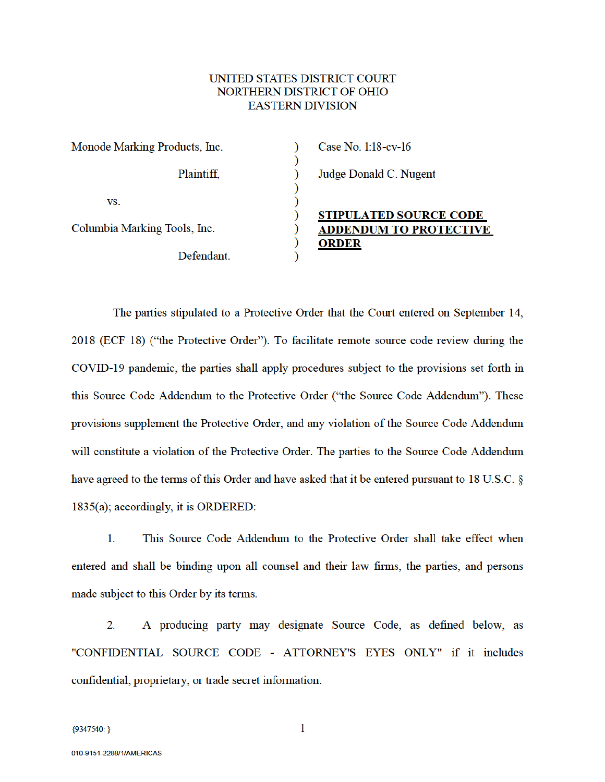#### UNITED STATES DISTRICT COURT NORTHERN DISTRICT OF OHIO **EASTERN DIVISION**

 $\mathcal{E}$  $\mathcal{E}$  $\mathcal{E}$ 

 $\mathcal{C}$  $\mathcal{E}$  $\overline{\mathcal{E}}$ 

 $\mathcal{E}$ 

 $\overline{\phantom{0}}$ 

| Monode Marking Products, Inc. |            |  |
|-------------------------------|------------|--|
|                               | Plaintiff, |  |
| VS.                           |            |  |
| Columbia Marking Tools, Inc.  |            |  |
|                               | Defendant. |  |

# Case No. 1:18-cv-16 Judge Donald C. Nugent

# **STIPULATED SOURCE CODE ADDENDUM TO PROTECTIVE ORDER**

The parties stipulated to a Protective Order that the Court entered on September 14, 2018 (ECF 18) ("the Protective Order"). To facilitate remote source code review during the COVID-19 pandemic, the parties shall apply procedures subject to the provisions set forth in this Source Code Addendum to the Protective Order ("the Source Code Addendum"). These provisions supplement the Protective Order, and any violation of the Source Code Addendum will constitute a violation of the Protective Order. The parties to the Source Code Addendum have agreed to the terms of this Order and have asked that it be entered pursuant to 18 U.S.C. §  $1835(a)$ ; accordingly, it is ORDERED:

 $1.$ This Source Code Addendum to the Protective Order shall take effect when entered and shall be binding upon all counsel and their law firms, the parties, and persons made subject to this Order by its terms.

 $2.$ A producing party may designate Source Code, as defined below, as "CONFIDENTIAL SOURCE CODE - ATTORNEY'S EYES ONLY" if it includes confidential, proprietary, or trade secret information.

 $\mathbf{1}$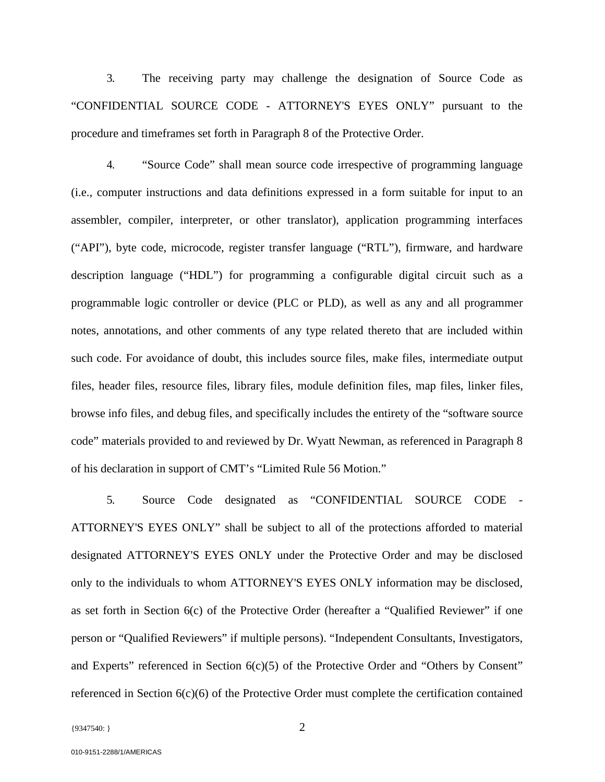3. The receiving party may challenge the designation of Source Code as "CONFIDENTIAL SOURCE CODE - ATTORNEY'S EYES ONLY" pursuant to the procedure and timeframes set forth in Paragraph 8 of the Protective Order.

4. "Source Code" shall mean source code irrespective of programming language (i.e., computer instructions and data definitions expressed in a form suitable for input to an assembler, compiler, interpreter, or other translator), application programming interfaces ("API"), byte code, microcode, register transfer language ("RTL"), firmware, and hardware description language ("HDL") for programming a configurable digital circuit such as a programmable logic controller or device (PLC or PLD), as well as any and all programmer notes, annotations, and other comments of any type related thereto that are included within such code. For avoidance of doubt, this includes source files, make files, intermediate output files, header files, resource files, library files, module definition files, map files, linker files, browse info files, and debug files, and specifically includes the entirety of the "software source code" materials provided to and reviewed by Dr. Wyatt Newman, as referenced in Paragraph 8 of his declaration in support of CMT's "Limited Rule 56 Motion."

5. Source Code designated as "CONFIDENTIAL SOURCE CODE - ATTORNEY'S EYES ONLY" shall be subject to all of the protections afforded to material designated ATTORNEY'S EYES ONLY under the Protective Order and may be disclosed only to the individuals to whom ATTORNEY'S EYES ONLY information may be disclosed, as set forth in Section 6(c) of the Protective Order (hereafter a "Qualified Reviewer" if one person or "Qualified Reviewers" if multiple persons). "Independent Consultants, Investigators, and Experts" referenced in Section  $6(c)(5)$  of the Protective Order and "Others by Consent" referenced in Section 6(c)(6) of the Protective Order must complete the certification contained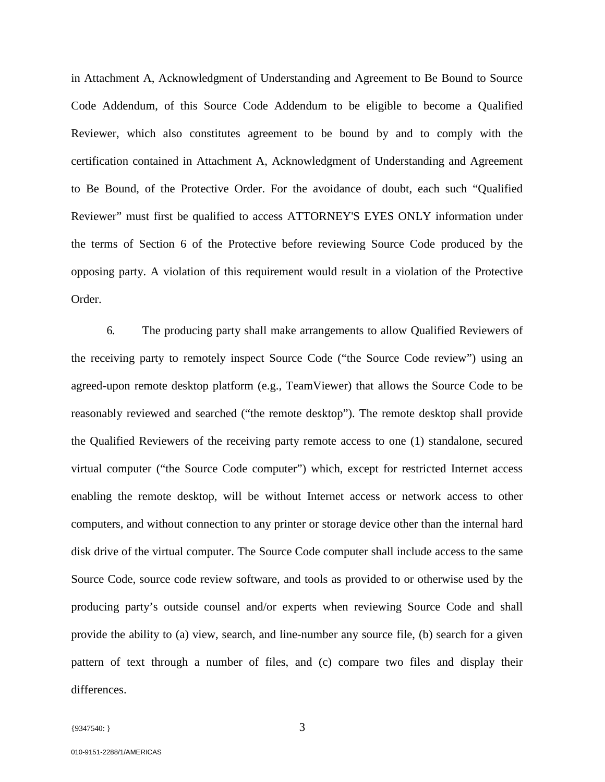in Attachment A, Acknowledgment of Understanding and Agreement to Be Bound to Source Code Addendum, of this Source Code Addendum to be eligible to become a Qualified Reviewer, which also constitutes agreement to be bound by and to comply with the certification contained in Attachment A, Acknowledgment of Understanding and Agreement to Be Bound, of the Protective Order. For the avoidance of doubt, each such "Qualified Reviewer" must first be qualified to access ATTORNEY'S EYES ONLY information under the terms of Section 6 of the Protective before reviewing Source Code produced by the opposing party. A violation of this requirement would result in a violation of the Protective Order.

6. The producing party shall make arrangements to allow Qualified Reviewers of the receiving party to remotely inspect Source Code ("the Source Code review") using an agreed-upon remote desktop platform (e.g., TeamViewer) that allows the Source Code to be reasonably reviewed and searched ("the remote desktop"). The remote desktop shall provide the Qualified Reviewers of the receiving party remote access to one (1) standalone, secured virtual computer ("the Source Code computer") which, except for restricted Internet access enabling the remote desktop, will be without Internet access or network access to other computers, and without connection to any printer or storage device other than the internal hard disk drive of the virtual computer. The Source Code computer shall include access to the same Source Code, source code review software, and tools as provided to or otherwise used by the producing party's outside counsel and/or experts when reviewing Source Code and shall provide the ability to (a) view, search, and line-number any source file, (b) search for a given pattern of text through a number of files, and (c) compare two files and display their differences.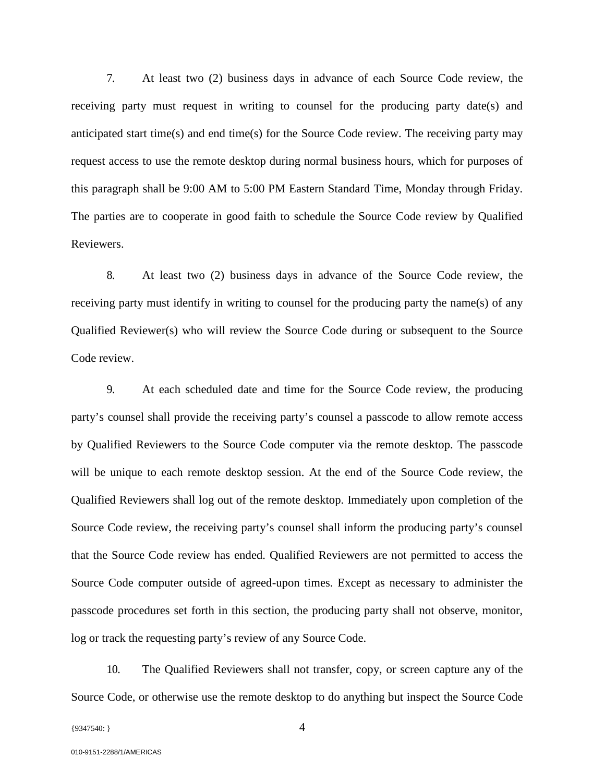7. At least two (2) business days in advance of each Source Code review, the receiving party must request in writing to counsel for the producing party date(s) and anticipated start time(s) and end time(s) for the Source Code review. The receiving party may request access to use the remote desktop during normal business hours, which for purposes of this paragraph shall be 9:00 AM to 5:00 PM Eastern Standard Time, Monday through Friday. The parties are to cooperate in good faith to schedule the Source Code review by Qualified Reviewers.

8. At least two (2) business days in advance of the Source Code review, the receiving party must identify in writing to counsel for the producing party the name(s) of any Qualified Reviewer(s) who will review the Source Code during or subsequent to the Source Code review.

9. At each scheduled date and time for the Source Code review, the producing party's counsel shall provide the receiving party's counsel a passcode to allow remote access by Qualified Reviewers to the Source Code computer via the remote desktop. The passcode will be unique to each remote desktop session. At the end of the Source Code review, the Qualified Reviewers shall log out of the remote desktop. Immediately upon completion of the Source Code review, the receiving party's counsel shall inform the producing party's counsel that the Source Code review has ended. Qualified Reviewers are not permitted to access the Source Code computer outside of agreed-upon times. Except as necessary to administer the passcode procedures set forth in this section, the producing party shall not observe, monitor, log or track the requesting party's review of any Source Code.

10. The Qualified Reviewers shall not transfer, copy, or screen capture any of the Source Code, or otherwise use the remote desktop to do anything but inspect the Source Code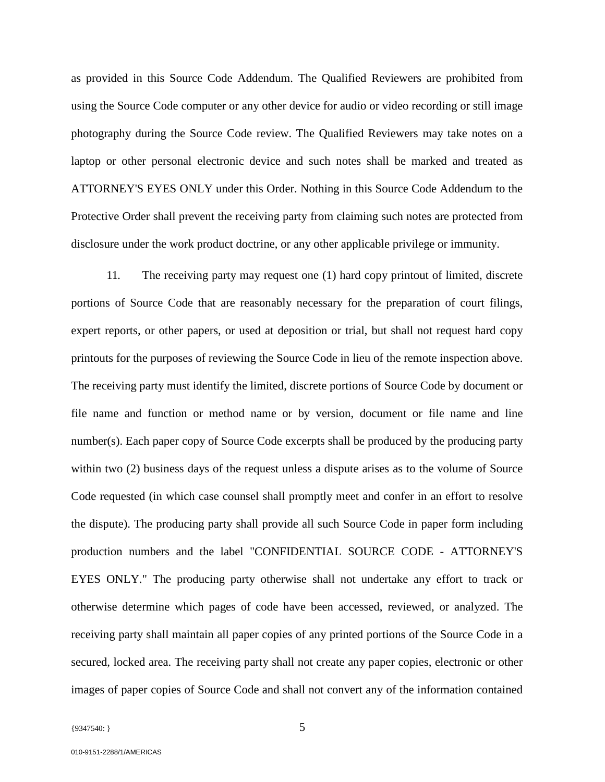as provided in this Source Code Addendum. The Qualified Reviewers are prohibited from using the Source Code computer or any other device for audio or video recording or still image photography during the Source Code review. The Qualified Reviewers may take notes on a laptop or other personal electronic device and such notes shall be marked and treated as ATTORNEY'S EYES ONLY under this Order. Nothing in this Source Code Addendum to the Protective Order shall prevent the receiving party from claiming such notes are protected from disclosure under the work product doctrine, or any other applicable privilege or immunity.

11. The receiving party may request one (1) hard copy printout of limited, discrete portions of Source Code that are reasonably necessary for the preparation of court filings, expert reports, or other papers, or used at deposition or trial, but shall not request hard copy printouts for the purposes of reviewing the Source Code in lieu of the remote inspection above. The receiving party must identify the limited, discrete portions of Source Code by document or file name and function or method name or by version, document or file name and line number(s). Each paper copy of Source Code excerpts shall be produced by the producing party within two (2) business days of the request unless a dispute arises as to the volume of Source Code requested (in which case counsel shall promptly meet and confer in an effort to resolve the dispute). The producing party shall provide all such Source Code in paper form including production numbers and the label "CONFIDENTIAL SOURCE CODE - ATTORNEY'S EYES ONLY." The producing party otherwise shall not undertake any effort to track or otherwise determine which pages of code have been accessed, reviewed, or analyzed. The receiving party shall maintain all paper copies of any printed portions of the Source Code in a secured, locked area. The receiving party shall not create any paper copies, electronic or other images of paper copies of Source Code and shall not convert any of the information contained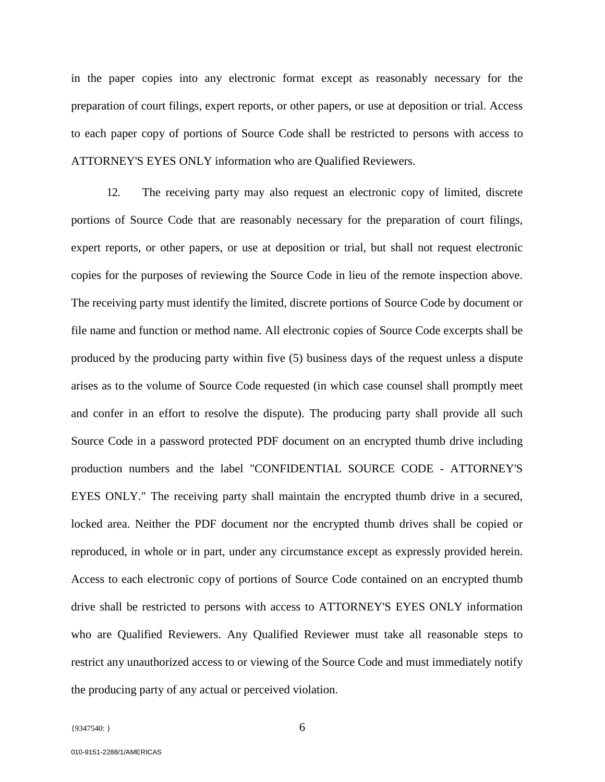in the paper copies into any electronic format except as reasonably necessary for the preparation of court filings, expert reports, or other papers, or use at deposition or trial. Access to each paper copy of portions of Source Code shall be restricted to persons with access to ATTORNEY'S EYES ONLY information who are Qualified Reviewers.

12. The receiving party may also request an electronic copy of limited, discrete portions of Source Code that are reasonably necessary for the preparation of court filings, expert reports, or other papers, or use at deposition or trial, but shall not request electronic copies for the purposes of reviewing the Source Code in lieu of the remote inspection above. The receiving party must identify the limited, discrete portions of Source Code by document or file name and function or method name. All electronic copies of Source Code excerpts shall be produced by the producing party within five (5) business days of the request unless a dispute arises as to the volume of Source Code requested (in which case counsel shall promptly meet and confer in an effort to resolve the dispute). The producing party shall provide all such Source Code in a password protected PDF document on an encrypted thumb drive including production numbers and the label "CONFIDENTIAL SOURCE CODE - ATTORNEY'S EYES ONLY." The receiving party shall maintain the encrypted thumb drive in a secured, locked area. Neither the PDF document nor the encrypted thumb drives shall be copied or reproduced, in whole or in part, under any circumstance except as expressly provided herein. Access to each electronic copy of portions of Source Code contained on an encrypted thumb drive shall be restricted to persons with access to ATTORNEY'S EYES ONLY information who are Qualified Reviewers. Any Qualified Reviewer must take all reasonable steps to restrict any unauthorized access to or viewing of the Source Code and must immediately notify the producing party of any actual or perceived violation.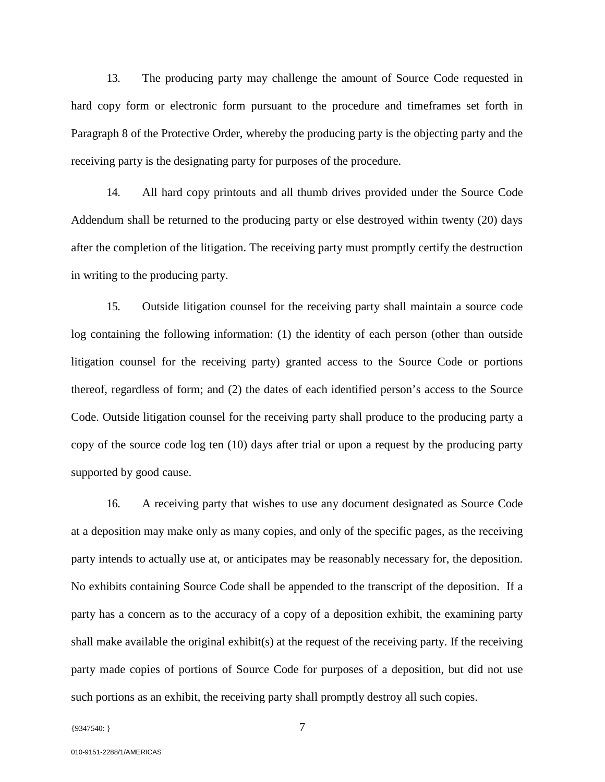13. The producing party may challenge the amount of Source Code requested in hard copy form or electronic form pursuant to the procedure and timeframes set forth in Paragraph 8 of the Protective Order, whereby the producing party is the objecting party and the receiving party is the designating party for purposes of the procedure.

14. All hard copy printouts and all thumb drives provided under the Source Code Addendum shall be returned to the producing party or else destroyed within twenty (20) days after the completion of the litigation. The receiving party must promptly certify the destruction in writing to the producing party.

15. Outside litigation counsel for the receiving party shall maintain a source code log containing the following information: (1) the identity of each person (other than outside litigation counsel for the receiving party) granted access to the Source Code or portions thereof, regardless of form; and (2) the dates of each identified person's access to the Source Code. Outside litigation counsel for the receiving party shall produce to the producing party a copy of the source code log ten (10) days after trial or upon a request by the producing party supported by good cause.

16. A receiving party that wishes to use any document designated as Source Code at a deposition may make only as many copies, and only of the specific pages, as the receiving party intends to actually use at, or anticipates may be reasonably necessary for, the deposition. No exhibits containing Source Code shall be appended to the transcript of the deposition. If a party has a concern as to the accuracy of a copy of a deposition exhibit, the examining party shall make available the original exhibit(s) at the request of the receiving party. If the receiving party made copies of portions of Source Code for purposes of a deposition, but did not use such portions as an exhibit, the receiving party shall promptly destroy all such copies.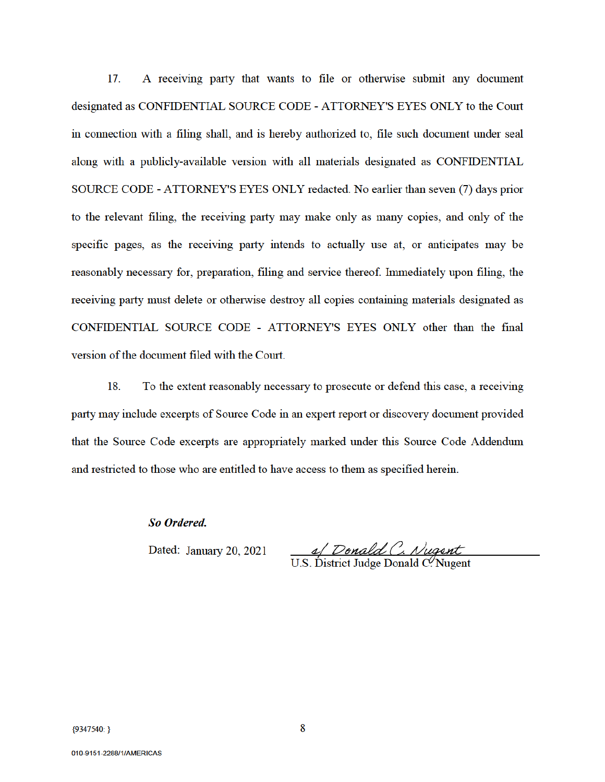17. A receiving party that wants to file or otherwise submit any document designated as CONFIDENTIAL SOURCE CODE - ATTORNEY'S EYES ONLY to the Court in connection with a filing shall, and is hereby authorized to, file such document under seal along with a publicly-available version with all materials designated as CONFIDENTIAL SOURCE CODE - ATTORNEY'S EYES ONLY redacted. No earlier than seven (7) days prior to the relevant filing, the receiving party may make only as many copies, and only of the specific pages, as the receiving party intends to actually use at, or anticipates may be reasonably necessary for, preparation, filing and service thereof. Immediately upon filing, the receiving party must delete or otherwise destroy all copies containing materials designated as CONFIDENTIAL SOURCE CODE - ATTORNEY'S EYES ONLY other than the final version of the document filed with the Court.

18. To the extent reasonably necessary to prosecute or defend this case, a receiving party may include excerpts of Source Code in an expert report or discovery document provided that the Source Code excerpts are appropriately marked under this Source Code Addendum and restricted to those who are entitled to have access to them as specified herein.

So Ordered.

Dated: January 20, 2021

1 Donald C. Nugent

U.S. District Judge Donald C. Nugent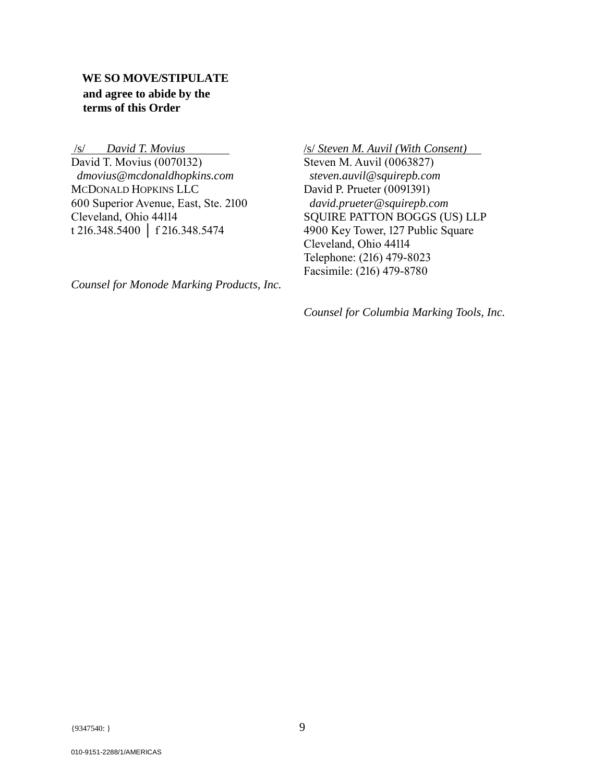# **WE SO MOVE/STIPULATE and agree to abide by the terms of this Order**

 /s/ *David T. Movius*  David T. Movius (0070132)  *dmovius@mcdonaldhopkins.com*  MCDONALD HOPKINS LLC 600 Superior Avenue, East, Ste. 2100 Cleveland, Ohio 44114 t 216.348.5400 │ f 216.348.5474

*Counsel for Monode Marking Products, Inc.*

/s/ *Steven M. Auvil (With Consent)* Steven M. Auvil (0063827) *steven.auvil@squirepb.com*  David P. Prueter (0091391) *david.prueter@squirepb.com*  SQUIRE PATTON BOGGS (US) LLP 4900 Key Tower, 127 Public Square Cleveland, Ohio 44114 Telephone: (216) 479-8023 Facsimile: (216) 479-8780

*Counsel for Columbia Marking Tools, Inc.*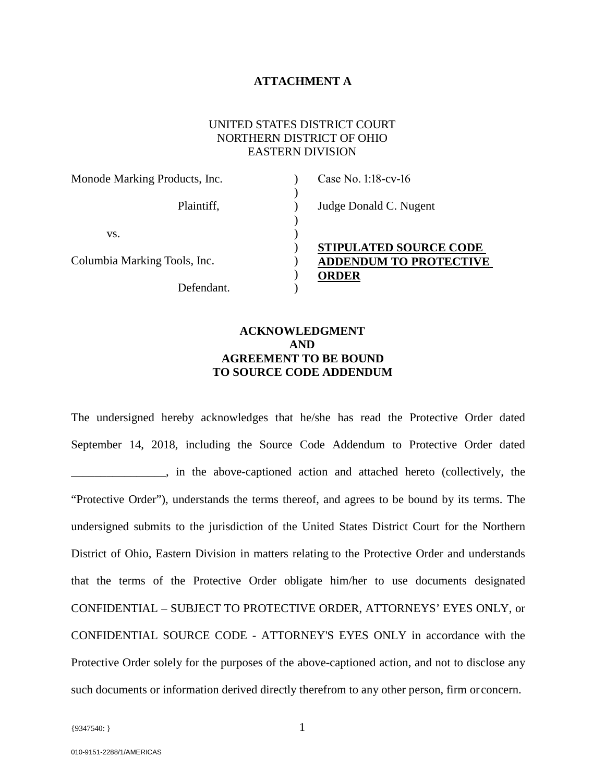#### **ATTACHMENT A**

#### UNITED STATES DISTRICT COURT NORTHERN DISTRICT OF OHIO EASTERN DIVISION

| Monode Marking Products, Inc. | Case No. 1:18-cv-16           |
|-------------------------------|-------------------------------|
| Plaintiff,                    | Judge Donald C. Nugent        |
| VS.                           |                               |
|                               | <b>STIPULATED SOURCE CODE</b> |
| Columbia Marking Tools, Inc.  | <b>ADDENDUM TO PROTECTIVE</b> |
|                               | <b>ORDER</b>                  |
| Defendant.                    |                               |

# **ACKNOWLEDGMENT AND AGREEMENT TO BE BOUND TO SOURCE CODE ADDENDUM**

The undersigned hereby acknowledges that he/she has read the Protective Order dated September 14, 2018, including the Source Code Addendum to Protective Order dated \_\_\_\_\_\_\_\_\_\_\_\_\_\_\_\_, in the above-captioned action and attached hereto (collectively, the "Protective Order"), understands the terms thereof, and agrees to be bound by its terms. The undersigned submits to the jurisdiction of the United States District Court for the Northern District of Ohio, Eastern Division in matters relating to the Protective Order and understands that the terms of the Protective Order obligate him/her to use documents designated CONFIDENTIAL – SUBJECT TO PROTECTIVE ORDER, ATTORNEYS' EYES ONLY, or CONFIDENTIAL SOURCE CODE - ATTORNEY'S EYES ONLY in accordance with the Protective Order solely for the purposes of the above-captioned action, and not to disclose any such documents or information derived directly therefrom to any other person, firm or concern.